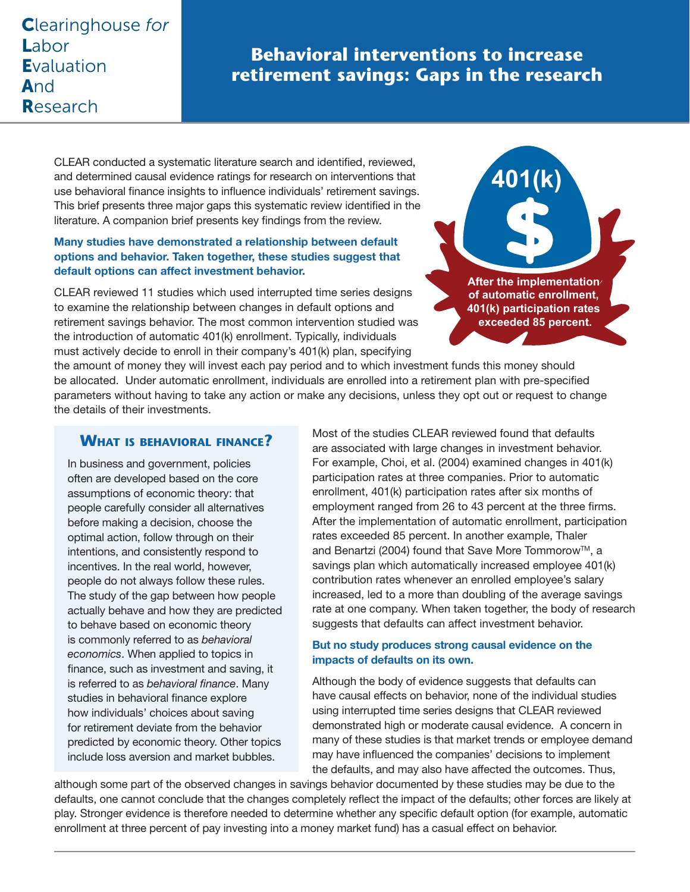## Clearinghouse *for* Labor **Evaluation** And Research

# **Behavioral interventions to increase retirement savings: Gaps in the research**

CLEAR conducted a systematic literature search and identified, reviewed, and determined causal evidence ratings for research on interventions that use behavioral finance insights to influence individuals' retirement savings. This brief presents three major gaps this systematic review identified in the literature. A companion brief presents key findings from the review.

#### Many studies have demonstrated a relationship between default options and behavior. Taken together, these studies suggest that default options can affect investment behavior.

CLEAR reviewed 11 studies which used interrupted time series designs to examine the relationship between changes in default options and retirement savings behavior. The most common intervention studied was the introduction of automatic 401(k) enrollment. Typically, individuals must actively decide to enroll in their company's 401(k) plan, specifying



the amount of money they will invest each pay period and to which investment funds this money should be allocated. Under automatic enrollment, individuals are enrolled into a retirement plan with pre-specified parameters without having to take any action or make any decisions, unless they opt out or request to change the details of their investments.

### **What is behavioral finance?**

In business and government, policies often are developed based on the core assumptions of economic theory: that people carefully consider all alternatives before making a decision, choose the optimal action, follow through on their intentions, and consistently respond to incentives. In the real world, however, people do not always follow these rules. The study of the gap between how people actually behave and how they are predicted to behave based on economic theory is commonly referred to as *behavioral economics*. When applied to topics in finance, such as investment and saving, it is referred to as *behavioral finance*. Many studies in behavioral finance explore how individuals' choices about saving for retirement deviate from the behavior predicted by economic theory. Other topics include loss aversion and market bubbles.

Most of the studies CLEAR reviewed found that defaults are associated with large changes in investment behavior. For example, Choi, et al. (2004) examined changes in 401(k) participation rates at three companies. Prior to automatic enrollment, 401(k) participation rates after six months of employment ranged from 26 to 43 percent at the three firms. After the implementation of automatic enrollment, participation rates exceeded 85 percent. In another example, Thaler and Benartzi (2004) found that Save More Tommorow™, a savings plan which automatically increased employee 401(k) contribution rates whenever an enrolled employee's salary increased, led to a more than doubling of the average savings rate at one company. When taken together, the body of research suggests that defaults can affect investment behavior.

#### But no study produces strong causal evidence on the impacts of defaults on its own.

Although the body of evidence suggests that defaults can have causal effects on behavior, none of the individual studies using interrupted time series designs that CLEAR reviewed demonstrated high or moderate causal evidence. A concern in many of these studies is that market trends or employee demand may have influenced the companies' decisions to implement the defaults, and may also have affected the outcomes. Thus,

although some part of the observed changes in savings behavior documented by these studies may be due to the defaults, one cannot conclude that the changes completely reflect the impact of the defaults; other forces are likely at play. Stronger evidence is therefore needed to determine whether any specific default option (for example, automatic enrollment at three percent of pay investing into a money market fund) has a casual effect on behavior.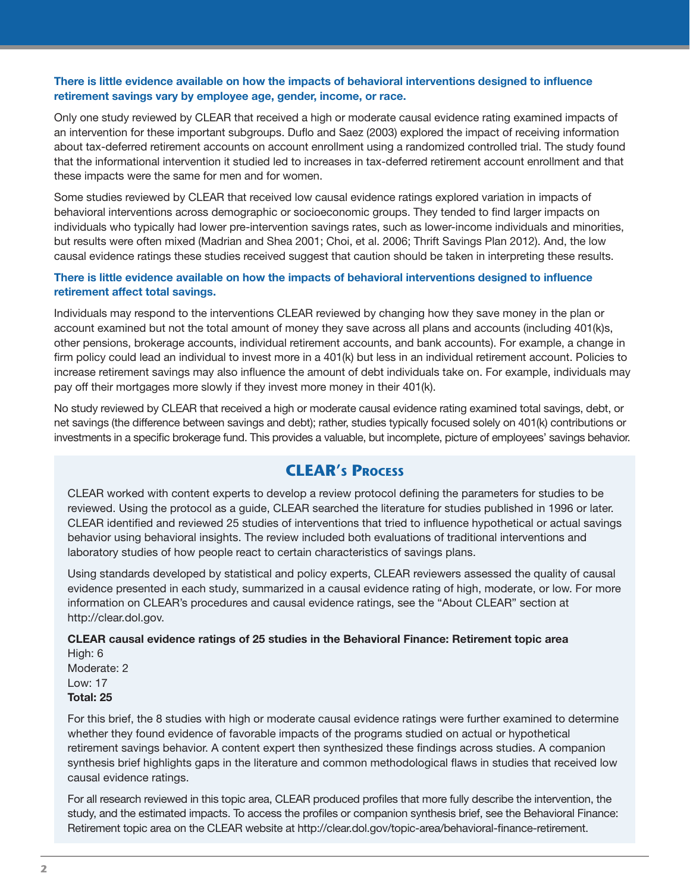#### There is little evidence available on how the impacts of behavioral interventions designed to influence retirement savings vary by employee age, gender, income, or race.

Only one study reviewed by CLEAR that received a high or moderate causal evidence rating examined impacts of an intervention for these important subgroups. Duflo and Saez (2003) explored the impact of receiving information about tax-deferred retirement accounts on account enrollment using a randomized controlled trial. The study found that the informational intervention it studied led to increases in tax-deferred retirement account enrollment and that these impacts were the same for men and for women.

Some studies reviewed by CLEAR that received low causal evidence ratings explored variation in impacts of behavioral interventions across demographic or socioeconomic groups. They tended to find larger impacts on individuals who typically had lower pre-intervention savings rates, such as lower-income individuals and minorities, but results were often mixed (Madrian and Shea 2001; Choi, et al. 2006; Thrift Savings Plan 2012). And, the low causal evidence ratings these studies received suggest that caution should be taken in interpreting these results.

#### There is little evidence available on how the impacts of behavioral interventions designed to influence retirement affect total savings.

Individuals may respond to the interventions CLEAR reviewed by changing how they save money in the plan or account examined but not the total amount of money they save across all plans and accounts (including 401(k)s, other pensions, brokerage accounts, individual retirement accounts, and bank accounts). For example, a change in firm policy could lead an individual to invest more in a 401(k) but less in an individual retirement account. Policies to increase retirement savings may also influence the amount of debt individuals take on. For example, individuals may pay off their mortgages more slowly if they invest more money in their 401(k).

No study reviewed by CLEAR that received a high or moderate causal evidence rating examined total savings, debt, or net savings (the difference between savings and debt); rather, studies typically focused solely on 401(k) contributions or investments in a specific brokerage fund. This provides a valuable, but incomplete, picture of employees' savings behavior.

### **CLEAR's PROCESS**

CLEAR worked with content experts to develop a review protocol defining the parameters for studies to be reviewed. Using the protocol as a guide, CLEAR searched the literature for studies published in 1996 or later. CLEAR identified and reviewed 25 studies of interventions that tried to influence hypothetical or actual savings behavior using behavioral insights. The review included both evaluations of traditional interventions and laboratory studies of how people react to certain characteristics of savings plans.

Using standards developed by statistical and policy experts, CLEAR reviewers assessed the quality of causal evidence presented in each study, summarized in a causal evidence rating of high, moderate, or low. For more information on CLEAR's procedures and causal evidence ratings, see the "About CLEAR" section at [http://clear.dol.gov.](http://clear.dol.gov)

#### CLEAR causal evidence ratings of 25 studies in the Behavioral Finance: Retirement topic area

High: 6 Moderate: 2 Low: 17 Total: 25

For this brief, the 8 studies with high or moderate causal evidence ratings were further examined to determine whether they found evidence of favorable impacts of the programs studied on actual or hypothetical retirement savings behavior. A content expert then synthesized these findings across studies. A companion synthesis brief highlights gaps in the literature and common methodological flaws in studies that received low causal evidence ratings.

For all research reviewed in this topic area, CLEAR produced profiles that more fully describe the intervention, the study, and the estimated impacts. To access the profiles or companion synthesis brief, see the Behavioral Finance: Retirement topic area on the CLEAR website at [http://clear.dol.gov/topic-area/behavioral-finance-retirement.](http://clear.dol.gov/topic-area/behavioral-finance-retirement)